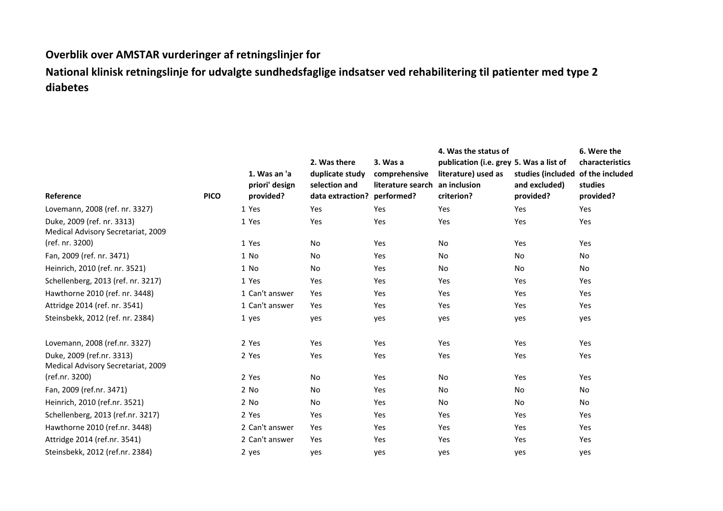## **Overblik over AMSTAR vurderinger af retningslinjer for**

**National klinisk retningslinje for udvalgte sundhedsfaglige indsatser ved rehabilitering til patienter med type 2 diabetes**

|                                                                  |             |                                             |                                                                                 |                                                | 4. Was the status of                                                                         |                                                 | 6. Were the                                                |
|------------------------------------------------------------------|-------------|---------------------------------------------|---------------------------------------------------------------------------------|------------------------------------------------|----------------------------------------------------------------------------------------------|-------------------------------------------------|------------------------------------------------------------|
| Reference                                                        | <b>PICO</b> | 1. Was an 'a<br>priori' design<br>provided? | 2. Was there<br>duplicate study<br>selection and<br>data extraction? performed? | 3. Was a<br>comprehensive<br>literature search | publication (i.e. grey 5. Was a list of<br>literature) used as<br>an inclusion<br>criterion? | studies (included<br>and excluded)<br>provided? | characteristics<br>of the included<br>studies<br>provided? |
| Lovemann, 2008 (ref. nr. 3327)                                   |             | 1 Yes                                       | Yes                                                                             | Yes                                            | Yes                                                                                          | Yes                                             | Yes                                                        |
| Duke, 2009 (ref. nr. 3313)<br>Medical Advisory Secretariat, 2009 |             | 1 Yes                                       | Yes                                                                             | Yes                                            | Yes                                                                                          | Yes                                             | Yes                                                        |
| (ref. nr. 3200)                                                  |             | 1 Yes                                       | No                                                                              | Yes                                            | No                                                                                           | Yes                                             | Yes                                                        |
| Fan, 2009 (ref. nr. 3471)                                        |             | 1 No                                        | No                                                                              | Yes                                            | No                                                                                           | No                                              | No                                                         |
| Heinrich, 2010 (ref. nr. 3521)                                   |             | 1 No                                        | No                                                                              | Yes                                            | No                                                                                           | No                                              | No                                                         |
| Schellenberg, 2013 (ref. nr. 3217)                               |             | 1 Yes                                       | Yes                                                                             | Yes                                            | Yes                                                                                          | Yes                                             | Yes                                                        |
| Hawthorne 2010 (ref. nr. 3448)                                   |             | 1 Can't answer                              | Yes                                                                             | Yes                                            | Yes                                                                                          | Yes                                             | Yes                                                        |
| Attridge 2014 (ref. nr. 3541)                                    |             | 1 Can't answer                              | Yes                                                                             | Yes                                            | Yes                                                                                          | Yes                                             | Yes                                                        |
| Steinsbekk, 2012 (ref. nr. 2384)                                 |             | 1 yes                                       | yes                                                                             | yes                                            | yes                                                                                          | yes                                             | yes                                                        |
| Lovemann, 2008 (ref.nr. 3327)                                    |             | 2 Yes                                       | Yes                                                                             | Yes                                            | Yes                                                                                          | Yes                                             | Yes                                                        |
| Duke, 2009 (ref.nr. 3313)<br>Medical Advisory Secretariat, 2009  |             | 2 Yes                                       | Yes                                                                             | Yes                                            | Yes                                                                                          | Yes                                             | Yes                                                        |
| (ref.nr. 3200)                                                   |             | 2 Yes                                       | No                                                                              | Yes                                            | No                                                                                           | Yes                                             | Yes                                                        |
| Fan, 2009 (ref.nr. 3471)                                         |             | 2 No                                        | No                                                                              | Yes                                            | No                                                                                           | No                                              | No                                                         |
| Heinrich, 2010 (ref.nr. 3521)                                    |             | 2 No                                        | No                                                                              | Yes                                            | No                                                                                           | No                                              | No                                                         |
| Schellenberg, 2013 (ref.nr. 3217)                                |             | 2 Yes                                       | Yes                                                                             | Yes                                            | Yes                                                                                          | Yes                                             | Yes                                                        |
| Hawthorne 2010 (ref.nr. 3448)                                    |             | 2 Can't answer                              | Yes                                                                             | Yes                                            | Yes                                                                                          | Yes                                             | Yes                                                        |
| Attridge 2014 (ref.nr. 3541)                                     |             | 2 Can't answer                              | Yes                                                                             | Yes                                            | Yes                                                                                          | Yes                                             | Yes                                                        |
| Steinsbekk, 2012 (ref.nr. 2384)                                  |             | 2 yes                                       | yes                                                                             | yes                                            | yes                                                                                          | yes                                             | yes                                                        |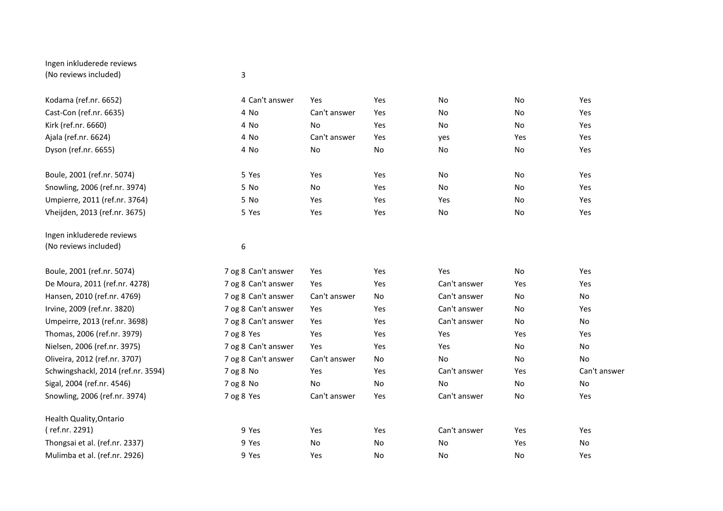## Ingen inkluderede reviews (No reviews included) 3

| Kodama (ref.nr. 6652)              | 4 Can't answer      | Yes          | Yes | No           | No        | Yes          |
|------------------------------------|---------------------|--------------|-----|--------------|-----------|--------------|
| Cast-Con (ref.nr. 6635)            | 4 No                | Can't answer | Yes | No           | No        | Yes          |
| Kirk (ref.nr. 6660)                | 4 No                | <b>No</b>    | Yes | No           | <b>No</b> | Yes          |
| Ajala (ref.nr. 6624)               | 4 No                | Can't answer | Yes | yes          | Yes       | Yes          |
| Dyson (ref.nr. 6655)               | 4 No                | No           | No  | No           | No        | Yes          |
| Boule, 2001 (ref.nr. 5074)         | 5 Yes               | Yes          | Yes | No           | No        | Yes          |
| Snowling, 2006 (ref.nr. 3974)      | 5 No                | No           | Yes | No           | <b>No</b> | Yes          |
| Umpierre, 2011 (ref.nr. 3764)      | 5 No                | Yes          | Yes | Yes          | No        | Yes          |
| Vheijden, 2013 (ref.nr. 3675)      | 5 Yes               | Yes          | Yes | No           | No        | Yes          |
| Ingen inkluderede reviews          |                     |              |     |              |           |              |
| (No reviews included)              | 6                   |              |     |              |           |              |
| Boule, 2001 (ref.nr. 5074)         | 7 og 8 Can't answer | Yes          | Yes | Yes          | No        | Yes          |
| De Moura, 2011 (ref.nr. 4278)      | 7 og 8 Can't answer | Yes          | Yes | Can't answer | Yes       | Yes          |
| Hansen, 2010 (ref.nr. 4769)        | 7 og 8 Can't answer | Can't answer | No  | Can't answer | No        | No           |
| Irvine, 2009 (ref.nr. 3820)        | 7 og 8 Can't answer | Yes          | Yes | Can't answer | No        | Yes          |
| Umpeirre, 2013 (ref.nr. 3698)      | 7 og 8 Can't answer | Yes          | Yes | Can't answer | <b>No</b> | No           |
| Thomas, 2006 (ref.nr. 3979)        | 7 og 8 Yes          | Yes          | Yes | Yes          | Yes       | Yes          |
| Nielsen, 2006 (ref.nr. 3975)       | 7 og 8 Can't answer | Yes          | Yes | Yes          | No        | No           |
| Oliveira, 2012 (ref.nr. 3707)      | 7 og 8 Can't answer | Can't answer | No  | No           | No        | No           |
| Schwingshackl, 2014 (ref.nr. 3594) | 7 og 8 No           | Yes          | Yes | Can't answer | Yes       | Can't answer |
| Sigal, 2004 (ref.nr. 4546)         | 7 og 8 No           | <b>No</b>    | No  | <b>No</b>    | No        | No           |
| Snowling, 2006 (ref.nr. 3974)      | 7 og 8 Yes          | Can't answer | Yes | Can't answer | No        | Yes          |
| Health Quality, Ontario            |                     |              |     |              |           |              |
| (ref.nr. 2291)                     | 9 Yes               | Yes          | Yes | Can't answer | Yes       | Yes          |
| Thongsai et al. (ref.nr. 2337)     | 9 Yes               | No           | No  | No           | Yes       | No           |
| Mulimba et al. (ref.nr. 2926)      | 9 Yes               | Yes          | No  | No           | No        | Yes          |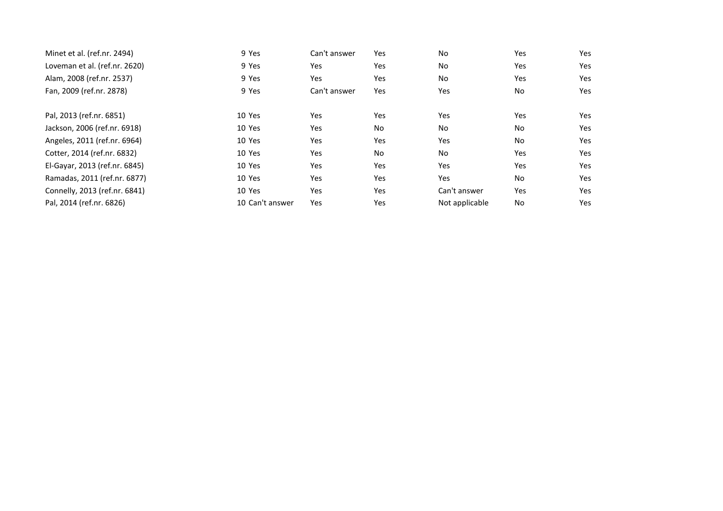| Minet et al. (ref.nr. 2494)   | 9 Yes           | Can't answer | Yes       | No             | <b>Yes</b> | Yes |
|-------------------------------|-----------------|--------------|-----------|----------------|------------|-----|
| Loveman et al. (ref.nr. 2620) | 9 Yes           | Yes          | Yes       | No             | Yes        | Yes |
| Alam, 2008 (ref.nr. 2537)     | 9 Yes           | Yes          | Yes       | No.            | Yes        | Yes |
| Fan, 2009 (ref.nr. 2878)      | 9 Yes           | Can't answer | Yes       | Yes            | No         | Yes |
|                               | 10 Yes          |              |           |                |            | Yes |
| Pal, 2013 (ref.nr. 6851)      |                 | Yes          | Yes       | Yes            | Yes        |     |
| Jackson, 2006 (ref.nr. 6918)  | 10 Yes          | Yes          | <b>No</b> | No.            | No         | Yes |
| Angeles, 2011 (ref.nr. 6964)  | 10 Yes          | Yes          | Yes       | Yes            | No         | Yes |
| Cotter, 2014 (ref.nr. 6832)   | 10 Yes          | Yes          | <b>No</b> | No             | Yes        | Yes |
| El-Gayar, 2013 (ref.nr. 6845) | 10 Yes          | Yes          | Yes       | Yes            | Yes        | Yes |
| Ramadas, 2011 (ref.nr. 6877)  | 10 Yes          | Yes          | Yes       | Yes            | <b>No</b>  | Yes |
| Connelly, 2013 (ref.nr. 6841) | 10 Yes          | Yes          | Yes       | Can't answer   | Yes        | Yes |
| Pal, 2014 (ref.nr. 6826)      | 10 Can't answer | Yes          | Yes       | Not applicable | <b>No</b>  | Yes |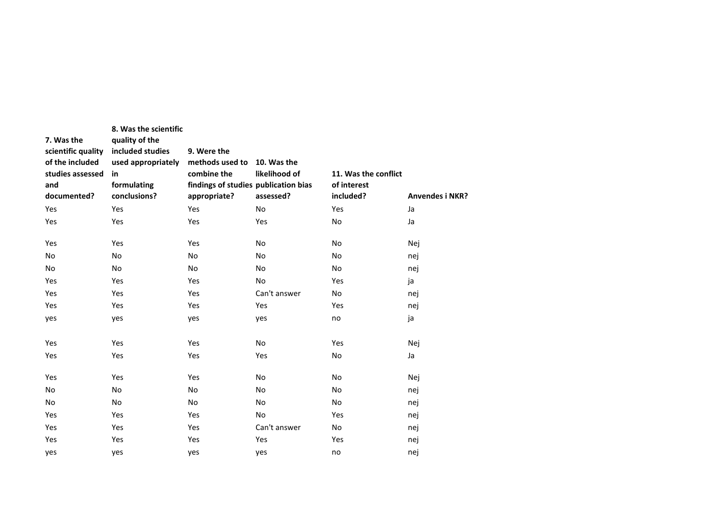| 7. Was the<br>scientific quality<br>of the included<br>studies assessed<br>and<br>documented? | 8. Was the scientific<br>quality of the<br>included studies<br>used appropriately<br>in<br>formulating<br>conclusions? | 9. Were the<br>methods used to<br>combine the<br>findings of studies publication bias<br>appropriate? | 10. Was the<br>likelihood of<br>assessed? | 11. Was the conflict<br>of interest<br>included? | <b>Anvendes i NKR?</b> |
|-----------------------------------------------------------------------------------------------|------------------------------------------------------------------------------------------------------------------------|-------------------------------------------------------------------------------------------------------|-------------------------------------------|--------------------------------------------------|------------------------|
| Yes                                                                                           | Yes                                                                                                                    | Yes                                                                                                   | No                                        | Yes                                              | Ja                     |
| Yes                                                                                           | Yes                                                                                                                    | Yes                                                                                                   | Yes                                       | No                                               | Ja                     |
| Yes                                                                                           | Yes                                                                                                                    | Yes                                                                                                   | No                                        | No                                               | Nej                    |
| No                                                                                            | No                                                                                                                     | No                                                                                                    | No                                        | No                                               | nej                    |
| No                                                                                            | No                                                                                                                     | No                                                                                                    | No                                        | No                                               | nej                    |
| Yes                                                                                           | Yes                                                                                                                    | Yes                                                                                                   | <b>No</b>                                 | Yes                                              | ja                     |
| Yes                                                                                           | Yes                                                                                                                    | Yes                                                                                                   | Can't answer                              | No                                               | nej                    |
| Yes                                                                                           | Yes                                                                                                                    | Yes                                                                                                   | Yes                                       | Yes                                              | nej                    |
| yes                                                                                           | yes                                                                                                                    | yes                                                                                                   | yes                                       | no                                               | ja                     |
| Yes                                                                                           | Yes                                                                                                                    | Yes                                                                                                   | <b>No</b>                                 | Yes                                              | Nej                    |
| Yes                                                                                           | Yes                                                                                                                    | Yes                                                                                                   | Yes                                       | No                                               | Ja                     |
| Yes                                                                                           | Yes                                                                                                                    | Yes                                                                                                   | No                                        | No                                               | Nej                    |
| No                                                                                            | No                                                                                                                     | No                                                                                                    | No                                        | No                                               | nej                    |
| No                                                                                            | No                                                                                                                     | No                                                                                                    | <b>No</b>                                 | <b>No</b>                                        | nej                    |
| Yes                                                                                           | Yes                                                                                                                    | Yes                                                                                                   | <b>No</b>                                 | Yes                                              | nej                    |
| Yes                                                                                           | Yes                                                                                                                    | Yes                                                                                                   | Can't answer                              | <b>No</b>                                        | nej                    |
| Yes                                                                                           | Yes                                                                                                                    | Yes                                                                                                   | Yes                                       | Yes                                              | nej                    |
| yes                                                                                           | yes                                                                                                                    | yes                                                                                                   | yes                                       | no                                               | nej                    |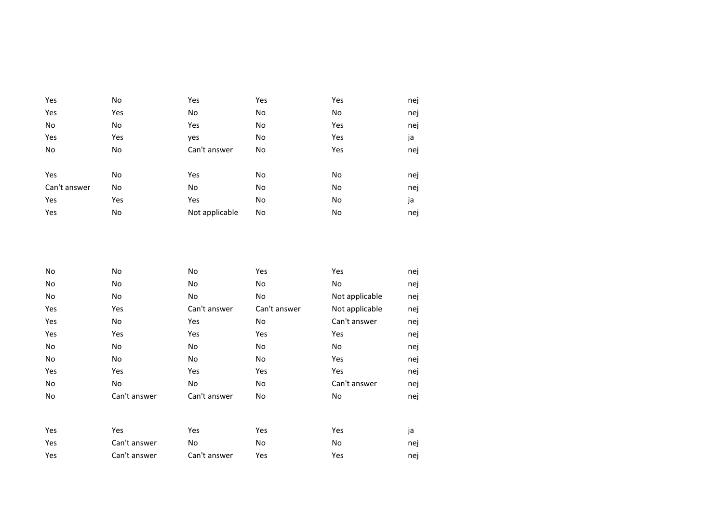| Yes          | No  | Yes            | Yes | Yes | nej |
|--------------|-----|----------------|-----|-----|-----|
| Yes          | Yes | No             | No  | No  | nej |
| No           | No  | Yes            | No  | Yes | nej |
| Yes          | Yes | yes            | No  | Yes | ja  |
| No           | No  | Can't answer   | No  | Yes | nej |
|              |     |                |     |     |     |
| Yes          | No  | Yes            | No  | No  | nej |
| Can't answer | No  | No             | No  | No  | nej |
| Yes          | Yes | Yes            | No  | No  | ja  |
| Yes          | No  | Not applicable | No  | No  | nej |

| No  | No           | No           | Yes          | Yes            | nej |
|-----|--------------|--------------|--------------|----------------|-----|
| No  | No           | No           | No           | No             | nej |
| No  | No           | No           | No           | Not applicable | nej |
| Yes | Yes          | Can't answer | Can't answer | Not applicable | nej |
| Yes | No           | Yes          | No           | Can't answer   | nej |
| Yes | Yes          | Yes          | Yes          | Yes            | nej |
| No  | No           | No           | No           | No             | nej |
| No  | No           | No           | No           | Yes            | nej |
| Yes | Yes          | Yes          | Yes          | Yes            | nej |
| No  | No           | No           | No           | Can't answer   | nej |
| No  | Can't answer | Can't answer | No           | No             | nej |
|     |              |              |              |                |     |
| Yes | Yes          | Yes          | Yes          | Yes            | ja  |
| Yes | Can't answer | No           | No           | No             | nej |
| Yes | Can't answer | Can't answer | Yes          | Yes            | nej |